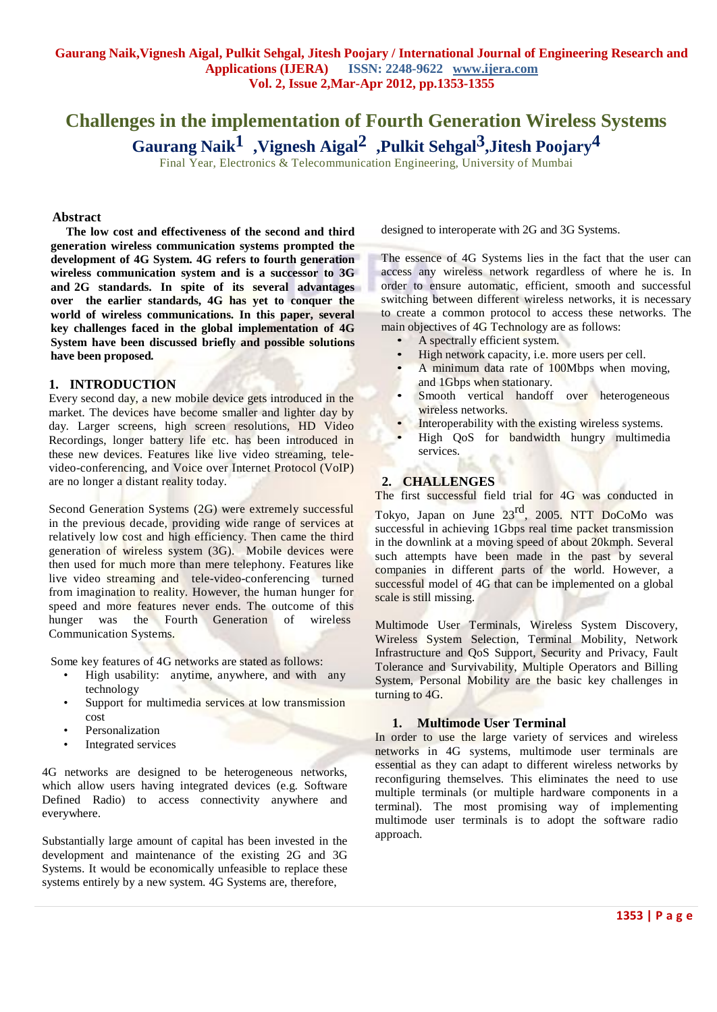# **Challenges in the implementation of Fourth Generation Wireless Systems Gaurang Naik 1 ,Vignesh Aigal 2 ,Pulkit Sehgal3 ,Jitesh Poojary 4**

Final Year, Electronics & Telecommunication Engineering, University of Mumbai

#### **Abstract**

**The low cost and effectiveness of the second and third generation wireless communication systems prompted the development of 4G System. 4G refers to fourth generation wireless communication system and is a successor to 3G and 2G standards. In spite of its several advantages over the earlier standards, 4G has yet to conquer the world of wireless communications. In this paper, several key challenges faced in the global implementation of 4G System have been discussed briefly and possible solutions have been proposed***.*

#### **1. INTRODUCTION**

Every second day, a new mobile device gets introduced in the market. The devices have become smaller and lighter day by day. Larger screens, high screen resolutions, HD Video Recordings, longer battery life etc. has been introduced in these new devices. Features like live video streaming, televideo-conferencing, and Voice over Internet Protocol (VoIP) are no longer a distant reality today.

Second Generation Systems (2G) were extremely successful in the previous decade, providing wide range of services at relatively low cost and high efficiency. Then came the third generation of wireless system (3G). Mobile devices were then used for much more than mere telephony. Features like live video streaming and tele-video-conferencing turned from imagination to reality. However, the human hunger for speed and more features never ends. The outcome of this hunger was the Fourth Generation of wireless Communication Systems.

Some key features of 4G networks are stated as follows:

- High usability: anytime, anywhere, and with any technology
- Support for multimedia services at low transmission cost
- **Personalization**
- Integrated services

4G networks are designed to be heterogeneous networks, which allow users having integrated devices (e.g. Software Defined Radio) to access connectivity anywhere and everywhere.

Substantially large amount of capital has been invested in the development and maintenance of the existing 2G and 3G Systems. It would be economically unfeasible to replace these systems entirely by a new system. 4G Systems are, therefore,

designed to interoperate with 2G and 3G Systems.

The essence of 4G Systems lies in the fact that the user can access any wireless network regardless of where he is. In order to ensure automatic, efficient, smooth and successful switching between different wireless networks, it is necessary to create a common protocol to access these networks. The main objectives of 4G Technology are as follows:

- A spectrally efficient system.
- High network capacity, i.e. more users per cell.
- A minimum data rate of 100Mbps when moving, and 1Gbps when stationary.
- Smooth vertical handoff over heterogeneous wireless networks.
- Interoperability with the existing wireless systems.
- High QoS for bandwidth hungry multimedia services.

# **2. CHALLENGES**

The first successful field trial for 4G was conducted in

Tokyo, Japan on June 23<sup>rd</sup>, 2005. NTT DoCoMo was successful in achieving 1Gbps real time packet transmission in the downlink at a moving speed of about 20kmph. Several such attempts have been made in the past by several companies in different parts of the world. However, a successful model of 4G that can be implemented on a global scale is still missing.

Multimode User Terminals, Wireless System Discovery, Wireless System Selection, Terminal Mobility, Network Infrastructure and QoS Support, Security and Privacy, Fault Tolerance and Survivability, Multiple Operators and Billing System, Personal Mobility are the basic key challenges in turning to 4G.

#### **1. Multimode User Terminal**

In order to use the large variety of services and wireless networks in 4G systems, multimode user terminals are essential as they can adapt to different wireless networks by reconfiguring themselves. This eliminates the need to use multiple terminals (or multiple hardware components in a terminal). The most promising way of implementing multimode user terminals is to adopt the software radio approach.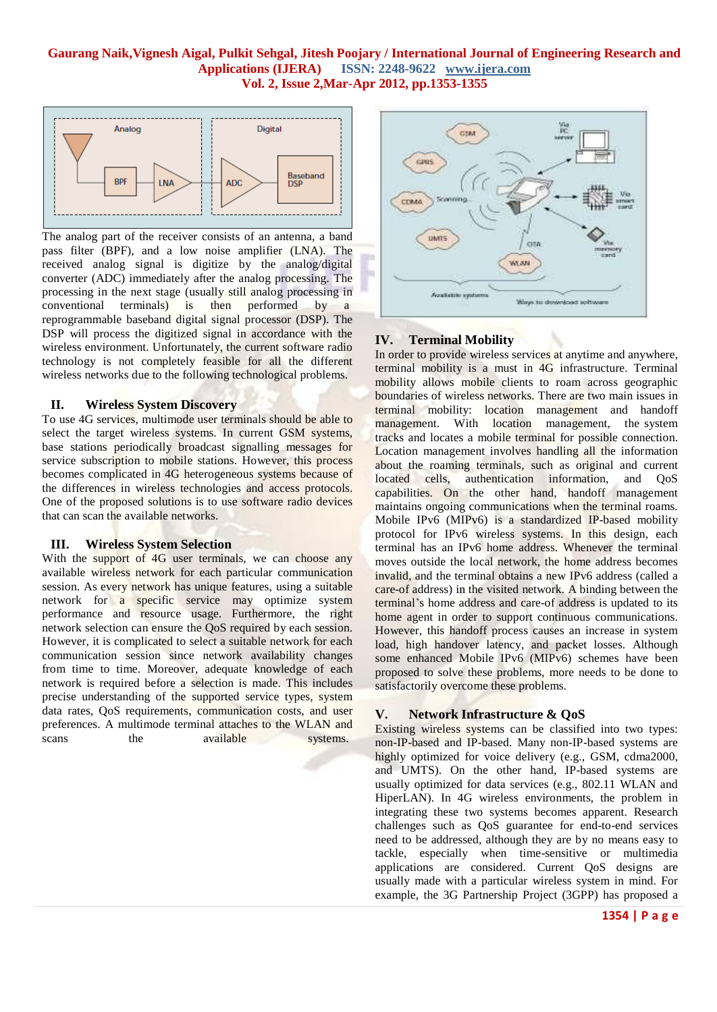#### **Gaurang Naik,Vignesh Aigal, Pulkit Sehgal, Jitesh Poojary / International Journal of Engineering Research and ISSN: 2248-9622 www.ijera.com Vol. 2, Issue 2,Mar-Apr 2012, pp.1353-1355**



The analog part of the receiver consists of an antenna, a band pass filter (BPF), and a low noise amplifier (LNA). The received analog signal is digitize by the analog/digital converter (ADC) immediately after the analog processing. The processing in the next stage (usually still analog processing in conventional terminals) is then performed by a conventional terminals) is then performed by a reprogrammable baseband digital signal processor (DSP). The DSP will process the digitized signal in accordance with the wireless environment. Unfortunately, the current software radio technology is not completely feasible for all the different wireless networks due to the following technological problems.

#### **II. Wireless System Discovery**

To use 4G services, multimode user terminals should be able to select the target wireless systems. In current GSM systems, base stations periodically broadcast signalling messages for service subscription to mobile stations. However, this process becomes complicated in 4G heterogeneous systems because of the differences in wireless technologies and access protocols. One of the proposed solutions is to use software radio devices that can scan the available networks.

# **III. Wireless System Selection**

With the support of 4G user terminals, we can choose any available wireless network for each particular communication session. As every network has unique features, using a suitable network for a specific service may optimize system performance and resource usage. Furthermore, the right network selection can ensure the QoS required by each session. However, it is complicated to select a suitable network for each communication session since network availability changes from time to time. Moreover, adequate knowledge of each network is required before a selection is made. This includes precise understanding of the supported service types, system data rates, QoS requirements, communication costs, and user preferences. A multimode terminal attaches to the WLAN and scans the available systems.



#### **IV. Terminal Mobility**

In order to provide wireless services at anytime and anywhere, terminal mobility is a must in 4G infrastructure. Terminal mobility allows mobile clients to roam across geographic boundaries of wireless networks. There are two main issues in terminal mobility: location management and handoff management. With location management, the system tracks and locates a mobile terminal for possible connection. Location management involves handling all the information about the roaming terminals, such as original and current located cells, authentication information, and QoS capabilities. On the other hand, handoff management maintains ongoing communications when the terminal roams. Mobile IPv6 (MIPv6) is a standardized IP-based mobility protocol for IPv6 wireless systems. In this design, each terminal has an IPv6 home address. Whenever the terminal moves outside the local network, the home address becomes invalid, and the terminal obtains a new IPv6 address (called a care-of address) in the visited network. A binding between the terminal's home address and care-of address is updated to its home agent in order to support continuous communications. However, this handoff process causes an increase in system load, high handover latency, and packet losses. Although some enhanced Mobile IPv6 (MIPv6) schemes have been proposed to solve these problems, more needs to be done to satisfactorily overcome these problems.

#### **V. Network Infrastructure & QoS**

Existing wireless systems can be classified into two types: non-IP-based and IP-based. Many non-IP-based systems are highly optimized for voice delivery (e.g., GSM, cdma2000, and UMTS). On the other hand, IP-based systems are usually optimized for data services (e.g., 802.11 WLAN and HiperLAN). In 4G wireless environments, the problem in integrating these two systems becomes apparent. Research challenges such as QoS guarantee for end-to-end services need to be addressed, although they are by no means easy to tackle, especially when time-sensitive or multimedia applications are considered. Current QoS designs are usually made with a particular wireless system in mind. For example, the 3G Partnership Project (3GPP) has proposed a